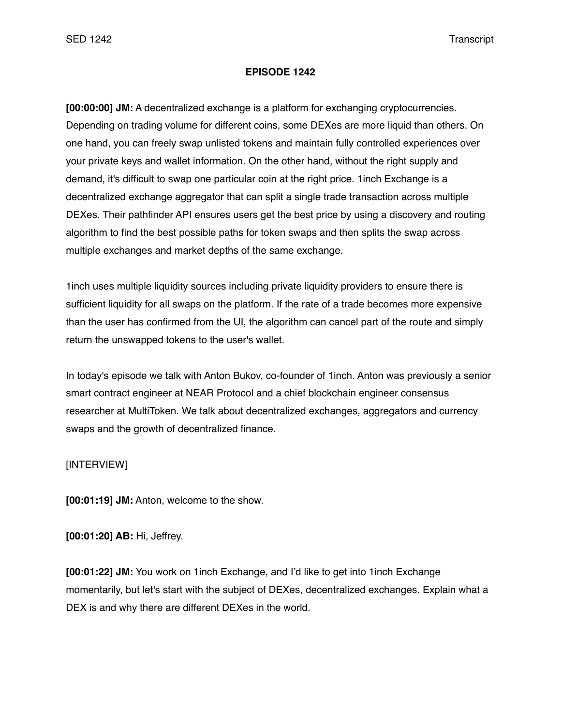## **EPISODE 1242**

**[00:00:00] JM:** A decentralized exchange is a platform for exchanging cryptocurrencies. Depending on trading volume for different coins, some DEXes are more liquid than others. On one hand, you can freely swap unlisted tokens and maintain fully controlled experiences over your private keys and wallet information. On the other hand, without the right supply and demand, it's difficult to swap one particular coin at the right price. 1inch Exchange is a decentralized exchange aggregator that can split a single trade transaction across multiple DEXes. Their pathfinder API ensures users get the best price by using a discovery and routing algorithm to find the best possible paths for token swaps and then splits the swap across multiple exchanges and market depths of the same exchange.

1inch uses multiple liquidity sources including private liquidity providers to ensure there is sufficient liquidity for all swaps on the platform. If the rate of a trade becomes more expensive than the user has confirmed from the UI, the algorithm can cancel part of the route and simply return the unswapped tokens to the user's wallet.

In today's episode we talk with Anton Bukov, co-founder of 1inch. Anton was previously a senior smart contract engineer at NEAR Protocol and a chief blockchain engineer consensus researcher at MultiToken. We talk about decentralized exchanges, aggregators and currency swaps and the growth of decentralized finance.

## [INTERVIEW]

**[00:01:19] JM:** Anton, welcome to the show.

**[00:01:20] AB:** Hi, Jeffrey.

**[00:01:22] JM:** You work on 1inch Exchange, and I'd like to get into 1inch Exchange momentarily, but let's start with the subject of DEXes, decentralized exchanges. Explain what a DEX is and why there are different DEXes in the world.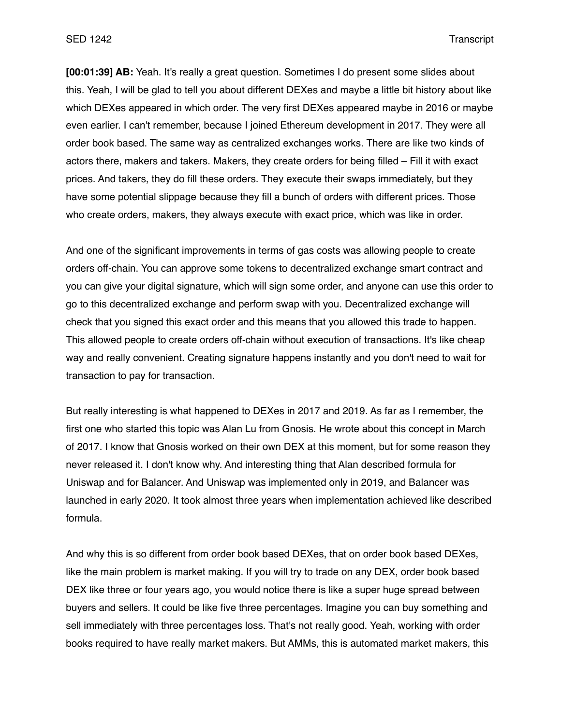**[00:01:39] AB:** Yeah. It's really a great question. Sometimes I do present some slides about this. Yeah, I will be glad to tell you about different DEXes and maybe a little bit history about like which DEXes appeared in which order. The very first DEXes appeared maybe in 2016 or maybe even earlier. I can't remember, because I joined Ethereum development in 2017. They were all order book based. The same way as centralized exchanges works. There are like two kinds of actors there, makers and takers. Makers, they create orders for being filled – Fill it with exact prices. And takers, they do fill these orders. They execute their swaps immediately, but they have some potential slippage because they fill a bunch of orders with different prices. Those who create orders, makers, they always execute with exact price, which was like in order.

And one of the significant improvements in terms of gas costs was allowing people to create orders off-chain. You can approve some tokens to decentralized exchange smart contract and you can give your digital signature, which will sign some order, and anyone can use this order to go to this decentralized exchange and perform swap with you. Decentralized exchange will check that you signed this exact order and this means that you allowed this trade to happen. This allowed people to create orders off-chain without execution of transactions. It's like cheap way and really convenient. Creating signature happens instantly and you don't need to wait for transaction to pay for transaction.

But really interesting is what happened to DEXes in 2017 and 2019. As far as I remember, the first one who started this topic was Alan Lu from Gnosis. He wrote about this concept in March of 2017. I know that Gnosis worked on their own DEX at this moment, but for some reason they never released it. I don't know why. And interesting thing that Alan described formula for Uniswap and for Balancer. And Uniswap was implemented only in 2019, and Balancer was launched in early 2020. It took almost three years when implementation achieved like described formula.

And why this is so different from order book based DEXes, that on order book based DEXes, like the main problem is market making. If you will try to trade on any DEX, order book based DEX like three or four years ago, you would notice there is like a super huge spread between buyers and sellers. It could be like five three percentages. Imagine you can buy something and sell immediately with three percentages loss. That's not really good. Yeah, working with order books required to have really market makers. But AMMs, this is automated market makers, this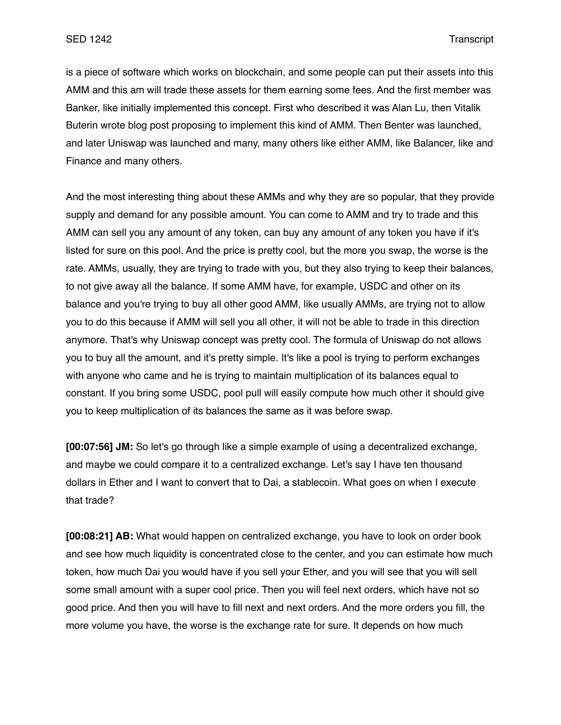is a piece of software which works on blockchain, and some people can put their assets into this AMM and this am will trade these assets for them earning some fees. And the first member was Banker, like initially implemented this concept. First who described it was Alan Lu, then Vitalik Buterin wrote blog post proposing to implement this kind of AMM. Then Benter was launched, and later Uniswap was launched and many, many others like either AMM, like Balancer, like and Finance and many others.

And the most interesting thing about these AMMs and why they are so popular, that they provide supply and demand for any possible amount. You can come to AMM and try to trade and this AMM can sell you any amount of any token, can buy any amount of any token you have if it's listed for sure on this pool. And the price is pretty cool, but the more you swap, the worse is the rate. AMMs, usually, they are trying to trade with you, but they also trying to keep their balances, to not give away all the balance. If some AMM have, for example, USDC and other on its balance and you're trying to buy all other good AMM, like usually AMMs, are trying not to allow you to do this because if AMM will sell you all other, it will not be able to trade in this direction anymore. That's why Uniswap concept was pretty cool. The formula of Uniswap do not allows you to buy all the amount, and it's pretty simple. It's like a pool is trying to perform exchanges with anyone who came and he is trying to maintain multiplication of its balances equal to constant. If you bring some USDC, pool pull will easily compute how much other it should give you to keep multiplication of its balances the same as it was before swap.

**[00:07:56] JM:** So let's go through like a simple example of using a decentralized exchange, and maybe we could compare it to a centralized exchange. Let's say I have ten thousand dollars in Ether and I want to convert that to Dai, a stablecoin. What goes on when I execute that trade?

**[00:08:21] AB:** What would happen on centralized exchange, you have to look on order book and see how much liquidity is concentrated close to the center, and you can estimate how much token, how much Dai you would have if you sell your Ether, and you will see that you will sell some small amount with a super cool price. Then you will feel next orders, which have not so good price. And then you will have to fill next and next orders. And the more orders you fill, the more volume you have, the worse is the exchange rate for sure. It depends on how much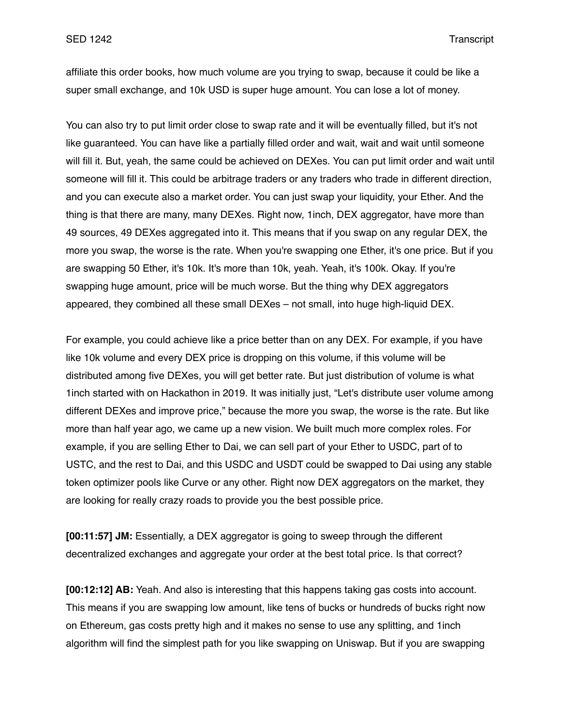affiliate this order books, how much volume are you trying to swap, because it could be like a super small exchange, and 10k USD is super huge amount. You can lose a lot of money.

You can also try to put limit order close to swap rate and it will be eventually filled, but it's not like guaranteed. You can have like a partially filled order and wait, wait and wait until someone will fill it. But, yeah, the same could be achieved on DEXes. You can put limit order and wait until someone will fill it. This could be arbitrage traders or any traders who trade in different direction, and you can execute also a market order. You can just swap your liquidity, your Ether. And the thing is that there are many, many DEXes. Right now, 1inch, DEX aggregator, have more than 49 sources, 49 DEXes aggregated into it. This means that if you swap on any regular DEX, the more you swap, the worse is the rate. When you're swapping one Ether, it's one price. But if you are swapping 50 Ether, it's 10k. It's more than 10k, yeah. Yeah, it's 100k. Okay. If you're swapping huge amount, price will be much worse. But the thing why DEX aggregators appeared, they combined all these small DEXes – not small, into huge high-liquid DEX.

For example, you could achieve like a price better than on any DEX. For example, if you have like 10k volume and every DEX price is dropping on this volume, if this volume will be distributed among five DEXes, you will get better rate. But just distribution of volume is what 1inch started with on Hackathon in 2019. It was initially just, "Let's distribute user volume among different DEXes and improve price," because the more you swap, the worse is the rate. But like more than half year ago, we came up a new vision. We built much more complex roles. For example, if you are selling Ether to Dai, we can sell part of your Ether to USDC, part of to USTC, and the rest to Dai, and this USDC and USDT could be swapped to Dai using any stable token optimizer pools like Curve or any other. Right now DEX aggregators on the market, they are looking for really crazy roads to provide you the best possible price.

**[00:11:57] JM:** Essentially, a DEX aggregator is going to sweep through the different decentralized exchanges and aggregate your order at the best total price. Is that correct?

**[00:12:12] AB:** Yeah. And also is interesting that this happens taking gas costs into account. This means if you are swapping low amount, like tens of bucks or hundreds of bucks right now on Ethereum, gas costs pretty high and it makes no sense to use any splitting, and 1inch algorithm will find the simplest path for you like swapping on Uniswap. But if you are swapping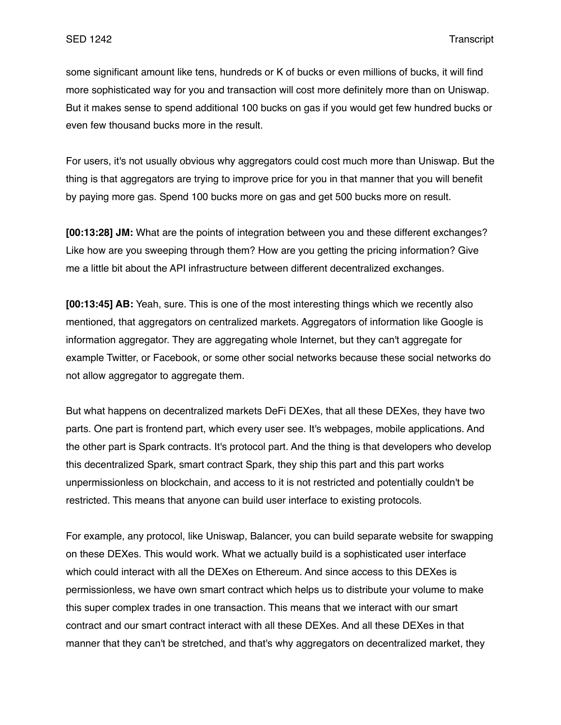some significant amount like tens, hundreds or K of bucks or even millions of bucks, it will find more sophisticated way for you and transaction will cost more definitely more than on Uniswap. But it makes sense to spend additional 100 bucks on gas if you would get few hundred bucks or even few thousand bucks more in the result.

For users, it's not usually obvious why aggregators could cost much more than Uniswap. But the thing is that aggregators are trying to improve price for you in that manner that you will benefit by paying more gas. Spend 100 bucks more on gas and get 500 bucks more on result.

**[00:13:28] JM:** What are the points of integration between you and these different exchanges? Like how are you sweeping through them? How are you getting the pricing information? Give me a little bit about the API infrastructure between different decentralized exchanges.

**[00:13:45] AB:** Yeah, sure. This is one of the most interesting things which we recently also mentioned, that aggregators on centralized markets. Aggregators of information like Google is information aggregator. They are aggregating whole Internet, but they can't aggregate for example Twitter, or Facebook, or some other social networks because these social networks do not allow aggregator to aggregate them.

But what happens on decentralized markets DeFi DEXes, that all these DEXes, they have two parts. One part is frontend part, which every user see. It's webpages, mobile applications. And the other part is Spark contracts. It's protocol part. And the thing is that developers who develop this decentralized Spark, smart contract Spark, they ship this part and this part works unpermissionless on blockchain, and access to it is not restricted and potentially couldn't be restricted. This means that anyone can build user interface to existing protocols.

For example, any protocol, like Uniswap, Balancer, you can build separate website for swapping on these DEXes. This would work. What we actually build is a sophisticated user interface which could interact with all the DEXes on Ethereum. And since access to this DEXes is permissionless, we have own smart contract which helps us to distribute your volume to make this super complex trades in one transaction. This means that we interact with our smart contract and our smart contract interact with all these DEXes. And all these DEXes in that manner that they can't be stretched, and that's why aggregators on decentralized market, they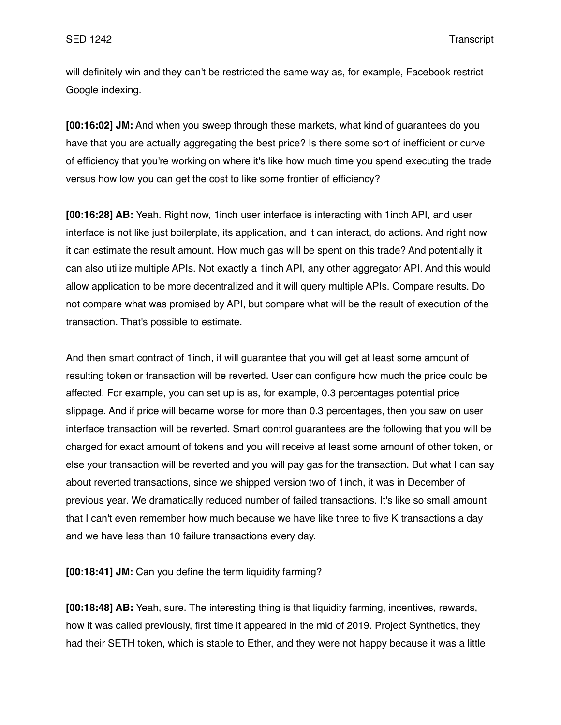will definitely win and they can't be restricted the same way as, for example, Facebook restrict Google indexing.

**[00:16:02] JM:** And when you sweep through these markets, what kind of guarantees do you have that you are actually aggregating the best price? Is there some sort of inefficient or curve of efficiency that you're working on where it's like how much time you spend executing the trade versus how low you can get the cost to like some frontier of efficiency?

**[00:16:28] AB:** Yeah. Right now, 1inch user interface is interacting with 1inch API, and user interface is not like just boilerplate, its application, and it can interact, do actions. And right now it can estimate the result amount. How much gas will be spent on this trade? And potentially it can also utilize multiple APIs. Not exactly a 1inch API, any other aggregator API. And this would allow application to be more decentralized and it will query multiple APIs. Compare results. Do not compare what was promised by API, but compare what will be the result of execution of the transaction. That's possible to estimate.

And then smart contract of 1inch, it will guarantee that you will get at least some amount of resulting token or transaction will be reverted. User can configure how much the price could be affected. For example, you can set up is as, for example, 0.3 percentages potential price slippage. And if price will became worse for more than 0.3 percentages, then you saw on user interface transaction will be reverted. Smart control guarantees are the following that you will be charged for exact amount of tokens and you will receive at least some amount of other token, or else your transaction will be reverted and you will pay gas for the transaction. But what I can say about reverted transactions, since we shipped version two of 1inch, it was in December of previous year. We dramatically reduced number of failed transactions. It's like so small amount that I can't even remember how much because we have like three to five K transactions a day and we have less than 10 failure transactions every day.

**[00:18:41] JM:** Can you define the term liquidity farming?

**[00:18:48] AB:** Yeah, sure. The interesting thing is that liquidity farming, incentives, rewards, how it was called previously, first time it appeared in the mid of 2019. Project Synthetics, they had their SETH token, which is stable to Ether, and they were not happy because it was a little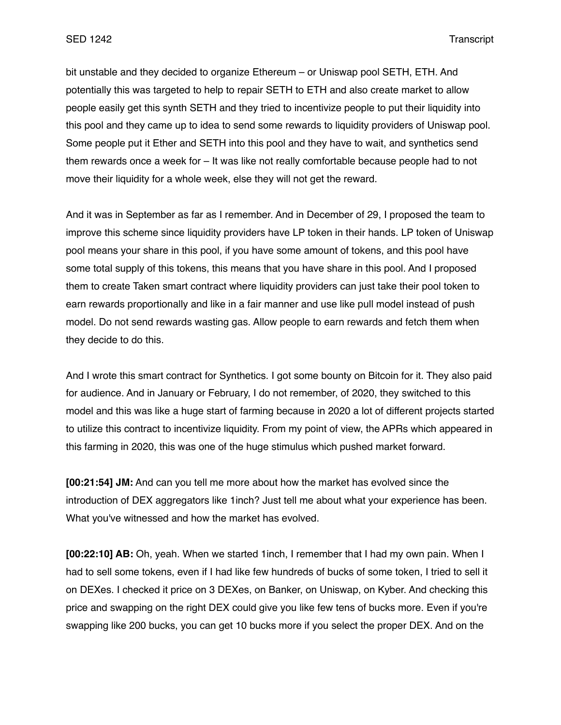bit unstable and they decided to organize Ethereum – or Uniswap pool SETH, ETH. And potentially this was targeted to help to repair SETH to ETH and also create market to allow people easily get this synth SETH and they tried to incentivize people to put their liquidity into this pool and they came up to idea to send some rewards to liquidity providers of Uniswap pool. Some people put it Ether and SETH into this pool and they have to wait, and synthetics send them rewards once a week for – It was like not really comfortable because people had to not move their liquidity for a whole week, else they will not get the reward.

And it was in September as far as I remember. And in December of 29, I proposed the team to improve this scheme since liquidity providers have LP token in their hands. LP token of Uniswap pool means your share in this pool, if you have some amount of tokens, and this pool have some total supply of this tokens, this means that you have share in this pool. And I proposed them to create Taken smart contract where liquidity providers can just take their pool token to earn rewards proportionally and like in a fair manner and use like pull model instead of push model. Do not send rewards wasting gas. Allow people to earn rewards and fetch them when they decide to do this.

And I wrote this smart contract for Synthetics. I got some bounty on Bitcoin for it. They also paid for audience. And in January or February, I do not remember, of 2020, they switched to this model and this was like a huge start of farming because in 2020 a lot of different projects started to utilize this contract to incentivize liquidity. From my point of view, the APRs which appeared in this farming in 2020, this was one of the huge stimulus which pushed market forward.

**[00:21:54] JM:** And can you tell me more about how the market has evolved since the introduction of DEX aggregators like 1inch? Just tell me about what your experience has been. What you've witnessed and how the market has evolved.

**[00:22:10] AB:** Oh, yeah. When we started 1inch, I remember that I had my own pain. When I had to sell some tokens, even if I had like few hundreds of bucks of some token, I tried to sell it on DEXes. I checked it price on 3 DEXes, on Banker, on Uniswap, on Kyber. And checking this price and swapping on the right DEX could give you like few tens of bucks more. Even if you're swapping like 200 bucks, you can get 10 bucks more if you select the proper DEX. And on the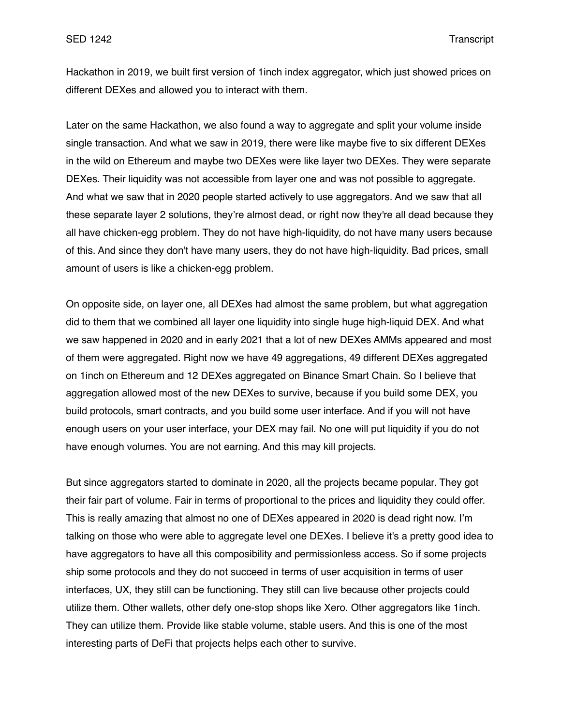Hackathon in 2019, we built first version of 1inch index aggregator, which just showed prices on different DEXes and allowed you to interact with them.

Later on the same Hackathon, we also found a way to aggregate and split your volume inside single transaction. And what we saw in 2019, there were like maybe five to six different DEXes in the wild on Ethereum and maybe two DEXes were like layer two DEXes. They were separate DEXes. Their liquidity was not accessible from layer one and was not possible to aggregate. And what we saw that in 2020 people started actively to use aggregators. And we saw that all these separate layer 2 solutions, they're almost dead, or right now they're all dead because they all have chicken-egg problem. They do not have high-liquidity, do not have many users because of this. And since they don't have many users, they do not have high-liquidity. Bad prices, small amount of users is like a chicken-egg problem.

On opposite side, on layer one, all DEXes had almost the same problem, but what aggregation did to them that we combined all layer one liquidity into single huge high-liquid DEX. And what we saw happened in 2020 and in early 2021 that a lot of new DEXes AMMs appeared and most of them were aggregated. Right now we have 49 aggregations, 49 different DEXes aggregated on 1inch on Ethereum and 12 DEXes aggregated on Binance Smart Chain. So I believe that aggregation allowed most of the new DEXes to survive, because if you build some DEX, you build protocols, smart contracts, and you build some user interface. And if you will not have enough users on your user interface, your DEX may fail. No one will put liquidity if you do not have enough volumes. You are not earning. And this may kill projects.

But since aggregators started to dominate in 2020, all the projects became popular. They got their fair part of volume. Fair in terms of proportional to the prices and liquidity they could offer. This is really amazing that almost no one of DEXes appeared in 2020 is dead right now. I'm talking on those who were able to aggregate level one DEXes. I believe it's a pretty good idea to have aggregators to have all this composibility and permissionless access. So if some projects ship some protocols and they do not succeed in terms of user acquisition in terms of user interfaces, UX, they still can be functioning. They still can live because other projects could utilize them. Other wallets, other defy one-stop shops like Xero. Other aggregators like 1inch. They can utilize them. Provide like stable volume, stable users. And this is one of the most interesting parts of DeFi that projects helps each other to survive.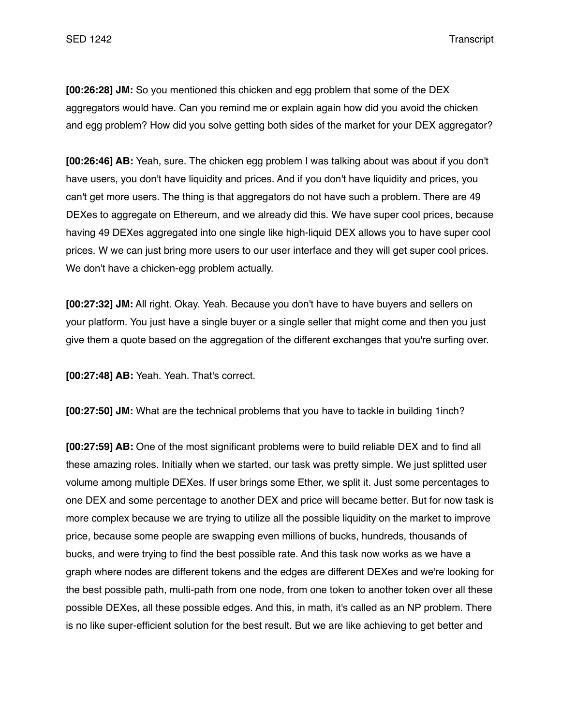**[00:26:28] JM:** So you mentioned this chicken and egg problem that some of the DEX aggregators would have. Can you remind me or explain again how did you avoid the chicken and egg problem? How did you solve getting both sides of the market for your DEX aggregator?

**[00:26:46] AB:** Yeah, sure. The chicken egg problem I was talking about was about if you don't have users, you don't have liquidity and prices. And if you don't have liquidity and prices, you can't get more users. The thing is that aggregators do not have such a problem. There are 49 DEXes to aggregate on Ethereum, and we already did this. We have super cool prices, because having 49 DEXes aggregated into one single like high-liquid DEX allows you to have super cool prices. W we can just bring more users to our user interface and they will get super cool prices. We don't have a chicken-egg problem actually.

**[00:27:32] JM:** All right. Okay. Yeah. Because you don't have to have buyers and sellers on your platform. You just have a single buyer or a single seller that might come and then you just give them a quote based on the aggregation of the different exchanges that you're surfing over.

**[00:27:48] AB:** Yeah. Yeah. That's correct.

**[00:27:50] JM:** What are the technical problems that you have to tackle in building 1inch?

**[00:27:59] AB:** One of the most significant problems were to build reliable DEX and to find all these amazing roles. Initially when we started, our task was pretty simple. We just splitted user volume among multiple DEXes. If user brings some Ether, we split it. Just some percentages to one DEX and some percentage to another DEX and price will became better. But for now task is more complex because we are trying to utilize all the possible liquidity on the market to improve price, because some people are swapping even millions of bucks, hundreds, thousands of bucks, and were trying to find the best possible rate. And this task now works as we have a graph where nodes are different tokens and the edges are different DEXes and we're looking for the best possible path, multi-path from one node, from one token to another token over all these possible DEXes, all these possible edges. And this, in math, it's called as an NP problem. There is no like super-efficient solution for the best result. But we are like achieving to get better and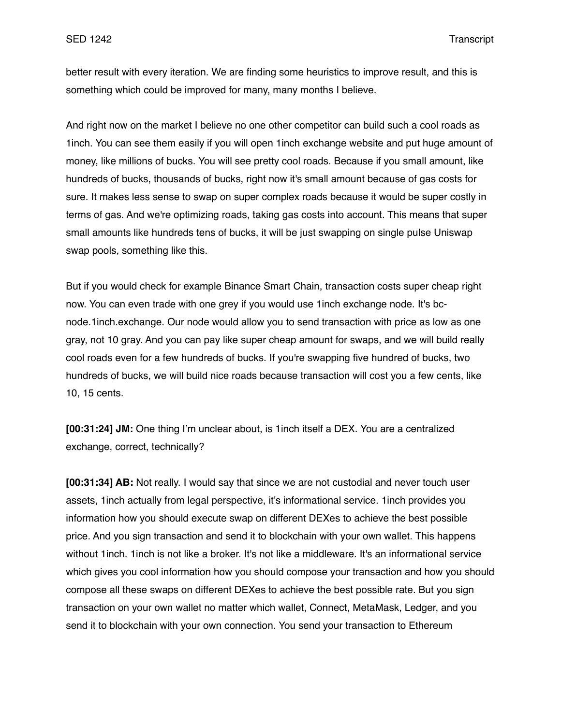better result with every iteration. We are finding some heuristics to improve result, and this is something which could be improved for many, many months I believe.

And right now on the market I believe no one other competitor can build such a cool roads as 1inch. You can see them easily if you will open 1inch exchange website and put huge amount of money, like millions of bucks. You will see pretty cool roads. Because if you small amount, like hundreds of bucks, thousands of bucks, right now it's small amount because of gas costs for sure. It makes less sense to swap on super complex roads because it would be super costly in terms of gas. And we're optimizing roads, taking gas costs into account. This means that super small amounts like hundreds tens of bucks, it will be just swapping on single pulse Uniswap swap pools, something like this.

But if you would check for example Binance Smart Chain, transaction costs super cheap right now. You can even trade with one grey if you would use 1inch exchange node. It's bcnode.1inch.exchange. Our node would allow you to send transaction with price as low as one gray, not 10 gray. And you can pay like super cheap amount for swaps, and we will build really cool roads even for a few hundreds of bucks. If you're swapping five hundred of bucks, two hundreds of bucks, we will build nice roads because transaction will cost you a few cents, like 10, 15 cents.

**[00:31:24] JM:** One thing I'm unclear about, is 1inch itself a DEX. You are a centralized exchange, correct, technically?

**[00:31:34] AB:** Not really. I would say that since we are not custodial and never touch user assets, 1inch actually from legal perspective, it's informational service. 1inch provides you information how you should execute swap on different DEXes to achieve the best possible price. And you sign transaction and send it to blockchain with your own wallet. This happens without 1inch. 1inch is not like a broker. It's not like a middleware. It's an informational service which gives you cool information how you should compose your transaction and how you should compose all these swaps on different DEXes to achieve the best possible rate. But you sign transaction on your own wallet no matter which wallet, Connect, MetaMask, Ledger, and you send it to blockchain with your own connection. You send your transaction to Ethereum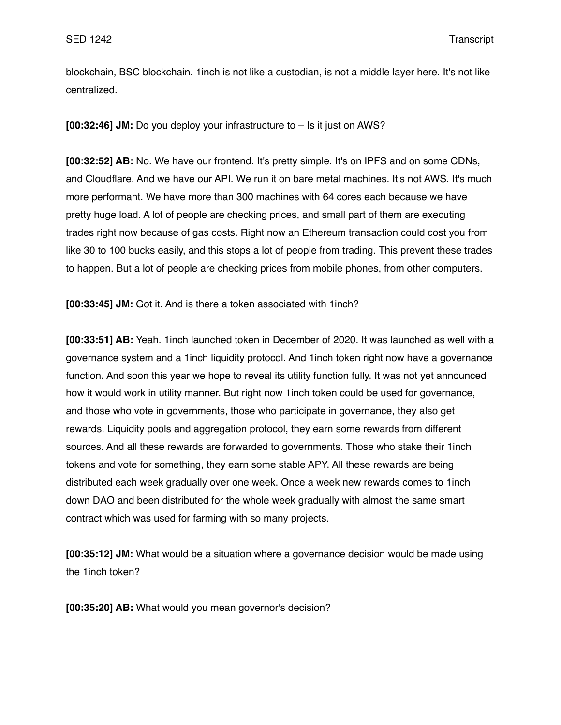blockchain, BSC blockchain. 1inch is not like a custodian, is not a middle layer here. It's not like centralized.

**[00:32:46] JM:** Do you deploy your infrastructure to – Is it just on AWS?

**[00:32:52] AB:** No. We have our frontend. It's pretty simple. It's on IPFS and on some CDNs, and Cloudflare. And we have our API. We run it on bare metal machines. It's not AWS. It's much more performant. We have more than 300 machines with 64 cores each because we have pretty huge load. A lot of people are checking prices, and small part of them are executing trades right now because of gas costs. Right now an Ethereum transaction could cost you from like 30 to 100 bucks easily, and this stops a lot of people from trading. This prevent these trades to happen. But a lot of people are checking prices from mobile phones, from other computers.

**[00:33:45] JM:** Got it. And is there a token associated with 1inch?

**[00:33:51] AB:** Yeah. 1inch launched token in December of 2020. It was launched as well with a governance system and a 1inch liquidity protocol. And 1inch token right now have a governance function. And soon this year we hope to reveal its utility function fully. It was not yet announced how it would work in utility manner. But right now 1inch token could be used for governance, and those who vote in governments, those who participate in governance, they also get rewards. Liquidity pools and aggregation protocol, they earn some rewards from different sources. And all these rewards are forwarded to governments. Those who stake their 1inch tokens and vote for something, they earn some stable APY. All these rewards are being distributed each week gradually over one week. Once a week new rewards comes to 1inch down DAO and been distributed for the whole week gradually with almost the same smart contract which was used for farming with so many projects.

**[00:35:12] JM:** What would be a situation where a governance decision would be made using the 1inch token?

**[00:35:20] AB:** What would you mean governor's decision?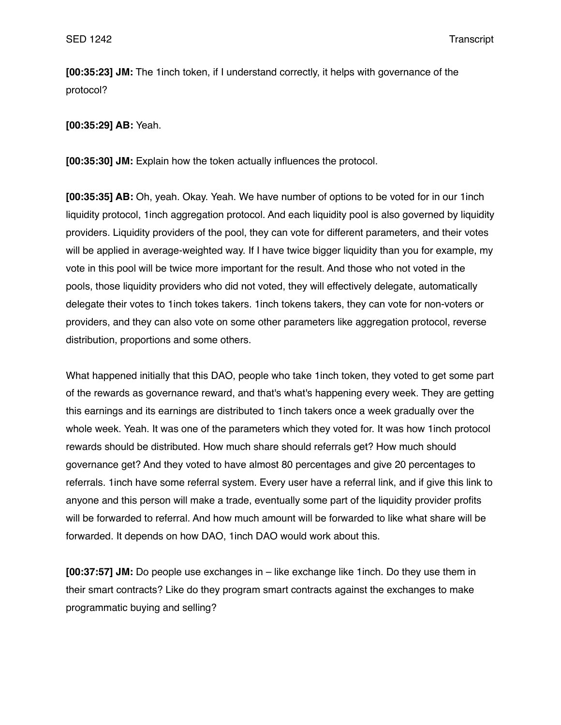**[00:35:23] JM:** The 1inch token, if I understand correctly, it helps with governance of the protocol?

**[00:35:29] AB:** Yeah.

**[00:35:30] JM:** Explain how the token actually influences the protocol.

**[00:35:35] AB:** Oh, yeah. Okay. Yeah. We have number of options to be voted for in our 1inch liquidity protocol, 1inch aggregation protocol. And each liquidity pool is also governed by liquidity providers. Liquidity providers of the pool, they can vote for different parameters, and their votes will be applied in average-weighted way. If I have twice bigger liquidity than you for example, my vote in this pool will be twice more important for the result. And those who not voted in the pools, those liquidity providers who did not voted, they will effectively delegate, automatically delegate their votes to 1inch tokes takers. 1inch tokens takers, they can vote for non-voters or providers, and they can also vote on some other parameters like aggregation protocol, reverse distribution, proportions and some others.

What happened initially that this DAO, people who take 1inch token, they voted to get some part of the rewards as governance reward, and that's what's happening every week. They are getting this earnings and its earnings are distributed to 1inch takers once a week gradually over the whole week. Yeah. It was one of the parameters which they voted for. It was how 1inch protocol rewards should be distributed. How much share should referrals get? How much should governance get? And they voted to have almost 80 percentages and give 20 percentages to referrals. 1inch have some referral system. Every user have a referral link, and if give this link to anyone and this person will make a trade, eventually some part of the liquidity provider profits will be forwarded to referral. And how much amount will be forwarded to like what share will be forwarded. It depends on how DAO, 1inch DAO would work about this.

**[00:37:57] JM:** Do people use exchanges in – like exchange like 1inch. Do they use them in their smart contracts? Like do they program smart contracts against the exchanges to make programmatic buying and selling?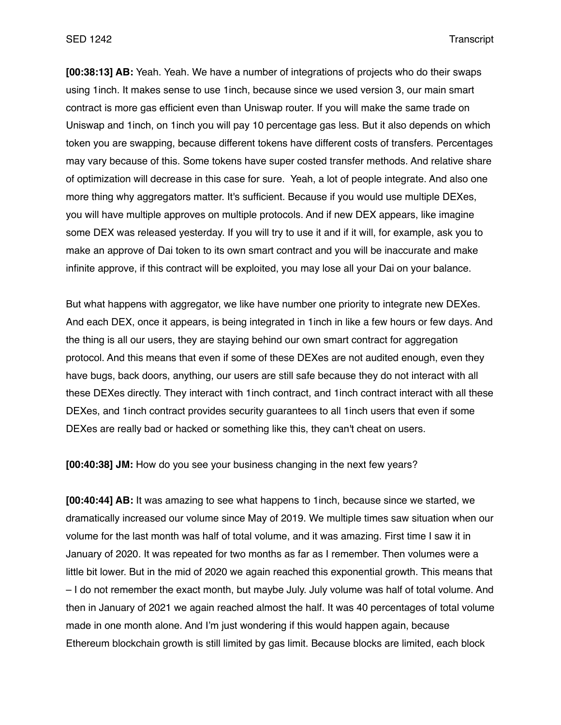**[00:38:13] AB:** Yeah. Yeah. We have a number of integrations of projects who do their swaps using 1inch. It makes sense to use 1inch, because since we used version 3, our main smart contract is more gas efficient even than Uniswap router. If you will make the same trade on Uniswap and 1inch, on 1inch you will pay 10 percentage gas less. But it also depends on which token you are swapping, because different tokens have different costs of transfers. Percentages may vary because of this. Some tokens have super costed transfer methods. And relative share of optimization will decrease in this case for sure. Yeah, a lot of people integrate. And also one more thing why aggregators matter. It's sufficient. Because if you would use multiple DEXes, you will have multiple approves on multiple protocols. And if new DEX appears, like imagine some DEX was released yesterday. If you will try to use it and if it will, for example, ask you to make an approve of Dai token to its own smart contract and you will be inaccurate and make infinite approve, if this contract will be exploited, you may lose all your Dai on your balance.

But what happens with aggregator, we like have number one priority to integrate new DEXes. And each DEX, once it appears, is being integrated in 1inch in like a few hours or few days. And the thing is all our users, they are staying behind our own smart contract for aggregation protocol. And this means that even if some of these DEXes are not audited enough, even they have bugs, back doors, anything, our users are still safe because they do not interact with all these DEXes directly. They interact with 1inch contract, and 1inch contract interact with all these DEXes, and 1inch contract provides security guarantees to all 1inch users that even if some DEXes are really bad or hacked or something like this, they can't cheat on users.

**[00:40:38] JM:** How do you see your business changing in the next few years?

**[00:40:44] AB:** It was amazing to see what happens to 1inch, because since we started, we dramatically increased our volume since May of 2019. We multiple times saw situation when our volume for the last month was half of total volume, and it was amazing. First time I saw it in January of 2020. It was repeated for two months as far as I remember. Then volumes were a little bit lower. But in the mid of 2020 we again reached this exponential growth. This means that – I do not remember the exact month, but maybe July. July volume was half of total volume. And then in January of 2021 we again reached almost the half. It was 40 percentages of total volume made in one month alone. And I'm just wondering if this would happen again, because Ethereum blockchain growth is still limited by gas limit. Because blocks are limited, each block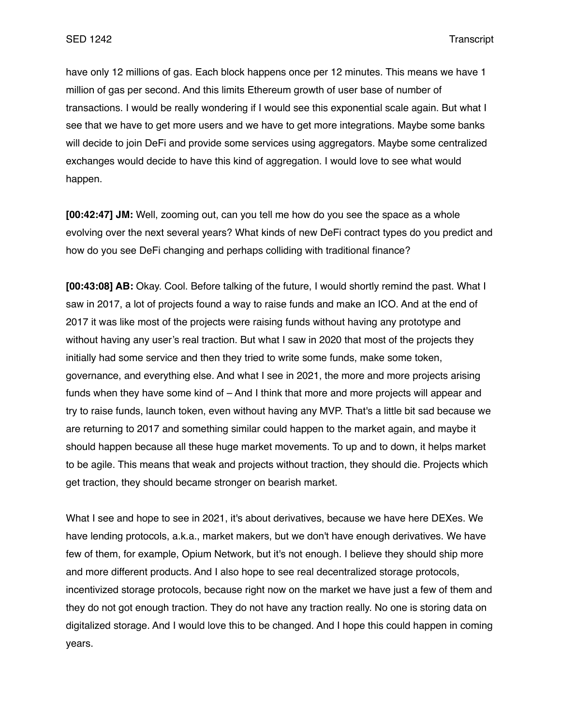have only 12 millions of gas. Each block happens once per 12 minutes. This means we have 1 million of gas per second. And this limits Ethereum growth of user base of number of transactions. I would be really wondering if I would see this exponential scale again. But what I see that we have to get more users and we have to get more integrations. Maybe some banks will decide to join DeFi and provide some services using aggregators. Maybe some centralized exchanges would decide to have this kind of aggregation. I would love to see what would happen.

**[00:42:47] JM:** Well, zooming out, can you tell me how do you see the space as a whole evolving over the next several years? What kinds of new DeFi contract types do you predict and how do you see DeFi changing and perhaps colliding with traditional finance?

**[00:43:08] AB:** Okay. Cool. Before talking of the future, I would shortly remind the past. What I saw in 2017, a lot of projects found a way to raise funds and make an ICO. And at the end of 2017 it was like most of the projects were raising funds without having any prototype and without having any user's real traction. But what I saw in 2020 that most of the projects they initially had some service and then they tried to write some funds, make some token, governance, and everything else. And what I see in 2021, the more and more projects arising funds when they have some kind of – And I think that more and more projects will appear and try to raise funds, launch token, even without having any MVP. That's a little bit sad because we are returning to 2017 and something similar could happen to the market again, and maybe it should happen because all these huge market movements. To up and to down, it helps market to be agile. This means that weak and projects without traction, they should die. Projects which get traction, they should became stronger on bearish market.

What I see and hope to see in 2021, it's about derivatives, because we have here DEXes. We have lending protocols, a.k.a., market makers, but we don't have enough derivatives. We have few of them, for example, Opium Network, but it's not enough. I believe they should ship more and more different products. And I also hope to see real decentralized storage protocols, incentivized storage protocols, because right now on the market we have just a few of them and they do not got enough traction. They do not have any traction really. No one is storing data on digitalized storage. And I would love this to be changed. And I hope this could happen in coming years.